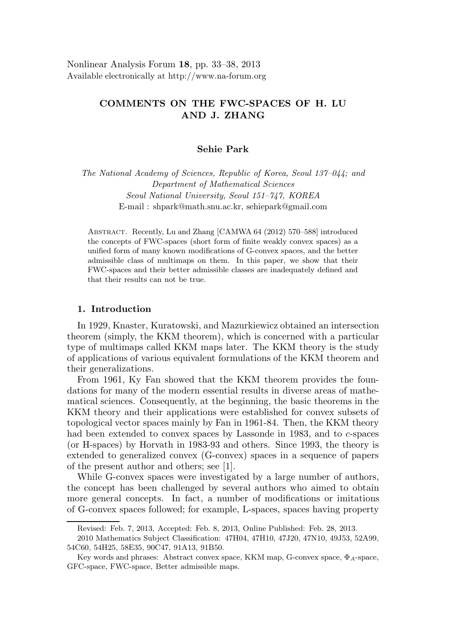Nonlinear Analysis Forum 18, pp. 33–38, 2013 Available electronically at http://www.na-forum.org

# COMMENTS ON THE FWC-SPACES OF H. LU AND J. ZHANG

## Sehie Park

The National Academy of Sciences, Republic of Korea, Seoul 137–044; and Department of Mathematical Sciences Seoul National University, Seoul 151–747, KOREA E-mail : shpark@math.snu.ac.kr, sehiepark@gmail.com

Abstract. Recently, Lu and Zhang [CAMWA 64 (2012) 570–588] introduced the concepts of FWC-spaces (short form of finite weakly convex spaces) as a unified form of many known modifications of G-convex spaces, and the better admissible class of multimaps on them. In this paper, we show that their FWC-spaces and their better admissible classes are inadequately defined and that their results can not be true.

# 1. Introduction

In 1929, Knaster, Kuratowski, and Mazurkiewicz obtained an intersection theorem (simply, the KKM theorem), which is concerned with a particular type of multimaps called KKM maps later. The KKM theory is the study of applications of various equivalent formulations of the KKM theorem and their generalizations.

From 1961, Ky Fan showed that the KKM theorem provides the foundations for many of the modern essential results in diverse areas of mathematical sciences. Consequently, at the beginning, the basic theorems in the KKM theory and their applications were established for convex subsets of topological vector spaces mainly by Fan in 1961-84. Then, the KKM theory had been extended to convex spaces by Lassonde in 1983, and to c-spaces (or H-spaces) by Horvath in 1983-93 and others. Since 1993, the theory is extended to generalized convex (G-convex) spaces in a sequence of papers of the present author and others; see [1].

While G-convex spaces were investigated by a large number of authors, the concept has been challenged by several authors who aimed to obtain more general concepts. In fact, a number of modifications or imitations of G-convex spaces followed; for example, L-spaces, spaces having property

Revised: Feb. 7, 2013, Accepted: Feb. 8, 2013, Online Published: Feb. 28, 2013.

<sup>2010</sup> Mathematics Subject Classification: 47H04, 47H10, 47J20, 47N10, 49J53, 52A99, 54C60, 54H25, 58E35, 90C47, 91A13, 91B50.

Key words and phrases: Abstract convex space, KKM map, G-convex space,  $\Phi_A$ -space, GFC-space, FWC-space, Better admissible maps.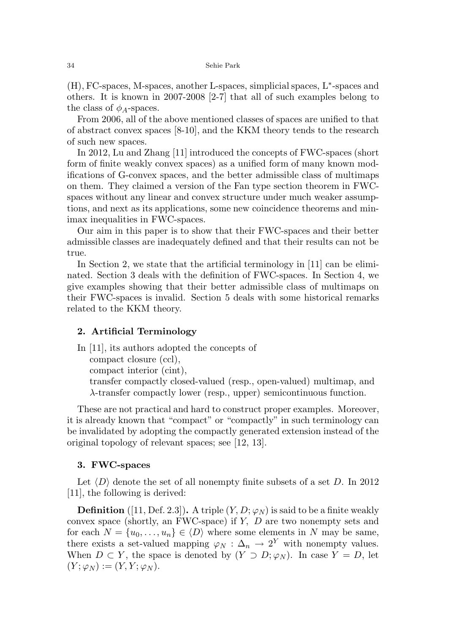(H), FC-spaces, M-spaces, another L-spaces, simplicial spaces, L<sup>∗</sup> -spaces and others. It is known in 2007-2008 [2-7] that all of such examples belong to the class of  $\phi_A$ -spaces.

From 2006, all of the above mentioned classes of spaces are unified to that of abstract convex spaces [8-10], and the KKM theory tends to the research of such new spaces.

In 2012, Lu and Zhang [11] introduced the concepts of FWC-spaces (short form of finite weakly convex spaces) as a unified form of many known modifications of G-convex spaces, and the better admissible class of multimaps on them. They claimed a version of the Fan type section theorem in FWCspaces without any linear and convex structure under much weaker assumptions, and next as its applications, some new coincidence theorems and minimax inequalities in FWC-spaces.

Our aim in this paper is to show that their FWC-spaces and their better admissible classes are inadequately defined and that their results can not be true.

In Section 2, we state that the artificial terminology in [11] can be eliminated. Section 3 deals with the definition of FWC-spaces. In Section 4, we give examples showing that their better admissible class of multimaps on their FWC-spaces is invalid. Section 5 deals with some historical remarks related to the KKM theory.

## 2. Artificial Terminology

In [11], its authors adopted the concepts of compact closure (ccl),

compact interior (cint),

transfer compactly closed-valued (resp., open-valued) multimap, and

λ-transfer compactly lower (resp., upper) semicontinuous function.

These are not practical and hard to construct proper examples. Moreover, it is already known that "compact" or "compactly" in such terminology can be invalidated by adopting the compactly generated extension instead of the original topology of relevant spaces; see [12, 13].

# 3. FWC-spaces

Let  $\langle D \rangle$  denote the set of all nonempty finite subsets of a set D. In 2012 [11], the following is derived:

**Definition** ([11, Def. 2.3]). A triple  $(Y, D; \varphi_N)$  is said to be a finite weakly convex space (shortly, an FWC-space) if Y, D are two nonempty sets and for each  $N = \{u_0, \ldots, u_n\} \in \langle D \rangle$  where some elements in N may be same, there exists a set-valued mapping  $\varphi_N : \Delta_n \to 2^Y$  with nonempty values. When  $D \subset Y$ , the space is denoted by  $(Y \supset D; \varphi_N)$ . In case  $Y = D$ , let  $(Y; \varphi_N) := (Y, Y; \varphi_N).$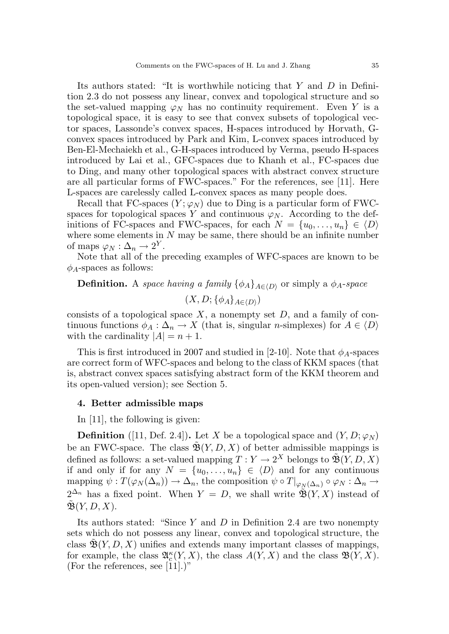Its authors stated: "It is worthwhile noticing that Y and D in Definition 2.3 do not possess any linear, convex and topological structure and so the set-valued mapping  $\varphi_N$  has no continuity requirement. Even Y is a topological space, it is easy to see that convex subsets of topological vector spaces, Lassonde's convex spaces, H-spaces introduced by Horvath, Gconvex spaces introduced by Park and Kim, L-convex spaces introduced by Ben-El-Mechaiekh et al., G-H-spaces introduced by Verma, pseudo H-spaces introduced by Lai et al., GFC-spaces due to Khanh et al., FC-spaces due to Ding, and many other topological spaces with abstract convex structure are all particular forms of FWC-spaces." For the references, see [11]. Here L-spaces are carelessly called L-convex spaces as many people does.

Recall that FC-spaces  $(Y; \varphi_N)$  due to Ding is a particular form of FWCspaces for topological spaces Y and continuous  $\varphi_N$ . According to the definitions of FC-spaces and FWC-spaces, for each  $N = \{u_0, \ldots, u_n\} \in \langle D \rangle$ where some elements in  $N$  may be same, there should be an infinite number of maps  $\varphi_N : \Delta_n \to 2^Y$ .

Note that all of the preceding examples of WFC-spaces are known to be  $\phi_A$ -spaces as follows:

**Definition.** A space having a family  $\{\phi_A\}_{A\in\{D\}}$  or simply a  $\phi_A$ -space

 $(X,D; \{\phi_A\}_{A \in \langle D \rangle})$ 

consists of a topological space  $X$ , a nonempty set  $D$ , and a family of continuous functions  $\phi_A : \Delta_n \to X$  (that is, singular *n*-simplexes) for  $A \in \langle D \rangle$ with the cardinality  $|A| = n + 1$ .

This is first introduced in 2007 and studied in [2-10]. Note that  $\phi_A$ -spaces are correct form of WFC-spaces and belong to the class of KKM spaces (that is, abstract convex spaces satisfying abstract form of the KKM theorem and its open-valued version); see Section 5.

#### 4. Better admissible maps

In [11], the following is given:

**Definition** ([11, Def. 2.4]). Let X be a topological space and  $(Y, D; \varphi_N)$ be an FWC-space. The class  $\mathfrak{B}(Y, D, X)$  of better admissible mappings is defined as follows: a set-valued mapping  $T: Y \to 2^X$  belongs to  $\mathfrak{B}(Y, D, X)$ if and only if for any  $N = \{u_0, \ldots, u_n\} \in \langle D \rangle$  and for any continuous mapping  $\psi: T(\varphi_N(\Delta_n)) \to \Delta_n$ , the composition  $\psi \circ T|_{\varphi_N(\Delta_n)} \circ \varphi_N : \Delta_n \to$  $2^{\Delta_n}$  has a fixed point. When  $Y = D$ , we shall write  $\tilde{\mathfrak{B}}(Y, X)$  instead of  $\mathfrak{B}(Y, D, X)$ .

Its authors stated: "Since Y and D in Definition 2.4 are two nonempty sets which do not possess any linear, convex and topological structure, the class  $\mathfrak{B}(Y, D, X)$  unifies and extends many important classes of mappings, for example, the class  $\mathfrak{A}_{c}^{\kappa}(Y,X)$ , the class  $A(Y,X)$  and the class  $\mathfrak{B}(Y,\overline{X})$ . (For the references, see [11].)"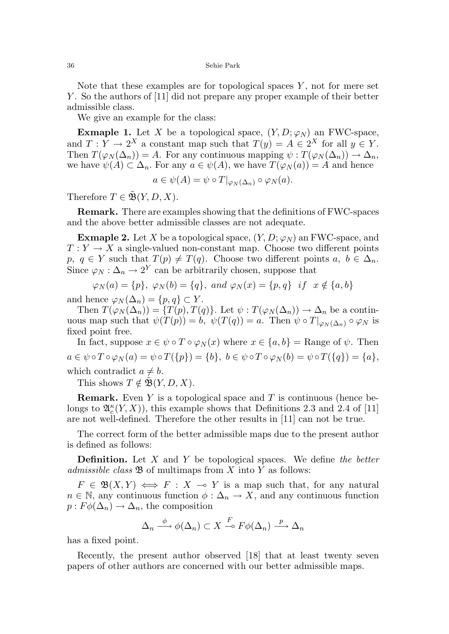36 Sehie Park

Note that these examples are for topological spaces  $Y$ , not for mere set Y. So the authors of [11] did not prepare any proper example of their better admissible class.

We give an example for the class:

**Exmaple 1.** Let X be a topological space,  $(Y, D; \varphi_N)$  an FWC-space, and  $T: Y \to 2^X$  a constant map such that  $T(y) = A \in 2^X$  for all  $y \in Y$ . Then  $T(\varphi_N(\Delta_n)) = A$ . For any continuous mapping  $\psi : T(\varphi_N(\Delta_n)) \to \Delta_n$ , we have  $\psi(A) \subset \Delta_n$ . For any  $a \in \psi(A)$ , we have  $T(\varphi_N(a)) = A$  and hence

$$
a \in \psi(A) = \psi \circ T|_{\varphi_N(\Delta_n)} \circ \varphi_N(a).
$$

Therefore  $T \in \tilde{\mathfrak{B}}(Y, D, X)$ .

Remark. There are examples showing that the definitions of FWC-spaces and the above better admissible classes are not adequate.

**Exmaple 2.** Let X be a topological space,  $(Y, D; \varphi_N)$  an FWC-space, and  $T: Y \to X$  a single-valued non-constant map. Choose two different points p,  $q \in Y$  such that  $T(p) \neq T(q)$ . Choose two different points  $a, b \in \Delta_n$ . Since  $\varphi_N : \Delta_n \to 2^Y$  can be arbitrarily chosen, suppose that

$$
\varphi_N(a) = \{p\}, \ \varphi_N(b) = \{q\}, \ and \ \varphi_N(x) = \{p, q\} \ \ if \ \ x \notin \{a, b\}
$$

and hence  $\varphi_N(\Delta_n) = \{p, q\} \subset Y$ .

Then  $T(\varphi_N(\Delta_n)) = \{T(p), T(q)\}.$  Let  $\psi : T(\varphi_N(\Delta_n)) \to \Delta_n$  be a continuous map such that  $\psi(T(p)) = b$ ,  $\psi(T(q)) = a$ . Then  $\psi \circ T|_{\varphi_N(\Delta_n)} \circ \varphi_N$  is fixed point free.

In fact, suppose  $x \in \psi \circ T \circ \varphi_N(x)$  where  $x \in \{a, b\}$  = Range of  $\psi$ . Then  $a \in \psi \circ T \circ \varphi_N(a) = \psi \circ T(\{p\}) = \{b\}, b \in \psi \circ T \circ \varphi_N(b) = \psi \circ T(\{q\}) = \{a\},\$ which contradict  $a \neq b$ .

This shows  $T \notin \mathfrak{B}(Y, D, X)$ .

**Remark.** Even Y is a topological space and T is continuous (hence belongs to  $\mathfrak{A}_{c}^{\kappa}(Y,X)$ , this example shows that Definitions 2.3 and 2.4 of [11] are not well-defined. Therefore the other results in [11] can not be true.

The correct form of the better admissible maps due to the present author is defined as follows:

**Definition.** Let  $X$  and  $Y$  be topological spaces. We define the better admissible class  $\mathfrak{B}$  of multimaps from X into Y as follows:

 $F \in \mathfrak{B}(X,Y) \iff F : X \multimap Y$  is a map such that, for any natural  $n \in \mathbb{N}$ , any continuous function  $\phi : \Delta_n \to X$ , and any continuous function  $p: F\phi(\Delta_n) \to \Delta_n$ , the composition

$$
\Delta_n \xrightarrow{\phi} \phi(\Delta_n) \subset X \xrightarrow{F} F\phi(\Delta_n) \xrightarrow{p} \Delta_n
$$

has a fixed point.

Recently, the present author observed [18] that at least twenty seven papers of other authors are concerned with our better admissible maps.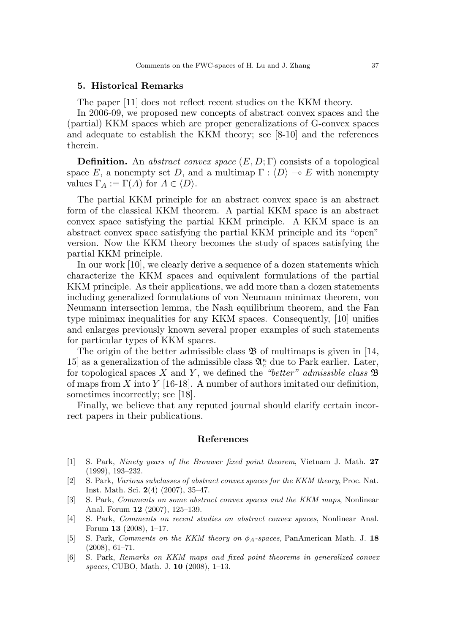#### 5. Historical Remarks

The paper [11] does not reflect recent studies on the KKM theory.

In 2006-09, we proposed new concepts of abstract convex spaces and the (partial) KKM spaces which are proper generalizations of G-convex spaces and adequate to establish the KKM theory; see [8-10] and the references therein.

**Definition.** An abstract convex space  $(E, D; \Gamma)$  consists of a topological space E, a nonempty set D, and a multimap  $\Gamma : \langle D \rangle \longrightarrow E$  with nonempty values  $\Gamma_A := \Gamma(A)$  for  $A \in \langle D \rangle$ .

The partial KKM principle for an abstract convex space is an abstract form of the classical KKM theorem. A partial KKM space is an abstract convex space satisfying the partial KKM principle. A KKM space is an abstract convex space satisfying the partial KKM principle and its "open" version. Now the KKM theory becomes the study of spaces satisfying the partial KKM principle.

In our work [10], we clearly derive a sequence of a dozen statements which characterize the KKM spaces and equivalent formulations of the partial KKM principle. As their applications, we add more than a dozen statements including generalized formulations of von Neumann minimax theorem, von Neumann intersection lemma, the Nash equilibrium theorem, and the Fan type minimax inequalities for any KKM spaces. Consequently, [10] unifies and enlarges previously known several proper examples of such statements for particular types of KKM spaces.

The origin of the better admissible class  $\mathfrak{B}$  of multimaps is given in [14, 15] as a generalization of the admissible class  $\mathfrak{A}_{c}^{\kappa}$  due to Park earlier. Later, for topological spaces X and Y, we defined the "better" admissible class  $\mathfrak{B}$ of maps from X into Y [16-18]. A number of authors imitated our definition, sometimes incorrectly; see [18].

Finally, we believe that any reputed journal should clarify certain incorrect papers in their publications.

#### References

- [1] S. Park, Ninety years of the Brouwer fixed point theorem, Vietnam J. Math. 27 (1999), 193–232.
- [2] S. Park, Various subclasses of abstract convex spaces for the KKM theory, Proc. Nat. Inst. Math. Sci. 2(4) (2007), 35–47.
- [3] S. Park, Comments on some abstract convex spaces and the KKM maps, Nonlinear Anal. Forum 12 (2007), 125–139.
- [4] S. Park, Comments on recent studies on abstract convex spaces, Nonlinear Anal. Forum 13 (2008), 1–17.
- [5] S. Park, Comments on the KKM theory on  $\phi_A$ -spaces, PanAmerican Math. J. 18 (2008), 61–71.
- [6] S. Park, Remarks on KKM maps and fixed point theorems in generalized convex spaces, CUBO, Math. J. 10 (2008), 1–13.